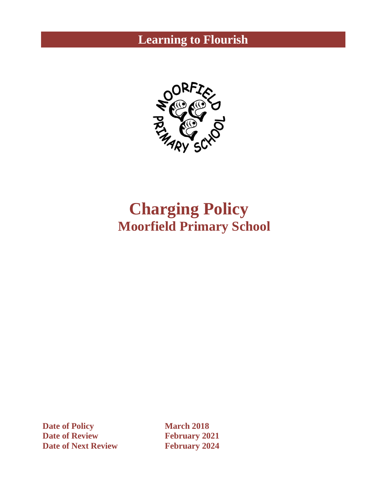# **Learning to Flourish**



# **Charging Policy Moorfield Primary School**

**Date of Policy March 2018 Date of Review February 2021 Date of Next Review February 2024**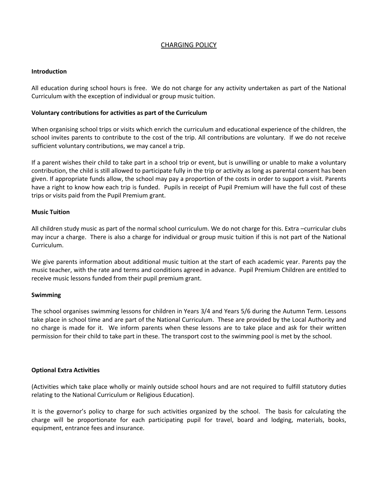# CHARGING POLICY

#### **Introduction**

All education during school hours is free. We do not charge for any activity undertaken as part of the National Curriculum with the exception of individual or group music tuition.

## **Voluntary contributions for activities as part of the Curriculum**

When organising school trips or visits which enrich the curriculum and educational experience of the children, the school invites parents to contribute to the cost of the trip. All contributions are voluntary. If we do not receive sufficient voluntary contributions, we may cancel a trip.

If a parent wishes their child to take part in a school trip or event, but is unwilling or unable to make a voluntary contribution, the child is still allowed to participate fully in the trip or activity as long as parental consent has been given. If appropriate funds allow, the school may pay a proportion of the costs in order to support a visit. Parents have a right to know how each trip is funded. Pupils in receipt of Pupil Premium will have the full cost of these trips or visits paid from the Pupil Premium grant.

#### **Music Tuition**

All children study music as part of the normal school curriculum. We do not charge for this. Extra –curricular clubs may incur a charge. There is also a charge for individual or group music tuition if this is not part of the National Curriculum.

We give parents information about additional music tuition at the start of each academic year. Parents pay the music teacher, with the rate and terms and conditions agreed in advance. Pupil Premium Children are entitled to receive music lessons funded from their pupil premium grant.

#### **Swimming**

The school organises swimming lessons for children in Years 3/4 and Years 5/6 during the Autumn Term. Lessons take place in school time and are part of the National Curriculum. These are provided by the Local Authority and no charge is made for it. We inform parents when these lessons are to take place and ask for their written permission for their child to take part in these. The transport cost to the swimming pool is met by the school.

#### **Optional Extra Activities**

(Activities which take place wholly or mainly outside school hours and are not required to fulfill statutory duties relating to the National Curriculum or Religious Education).

It is the governor's policy to charge for such activities organized by the school. The basis for calculating the charge will be proportionate for each participating pupil for travel, board and lodging, materials, books, equipment, entrance fees and insurance.